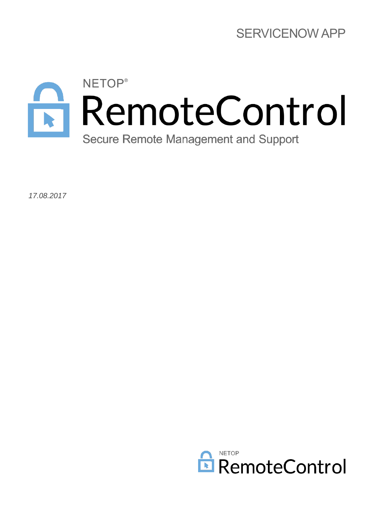

*17.08.2017*

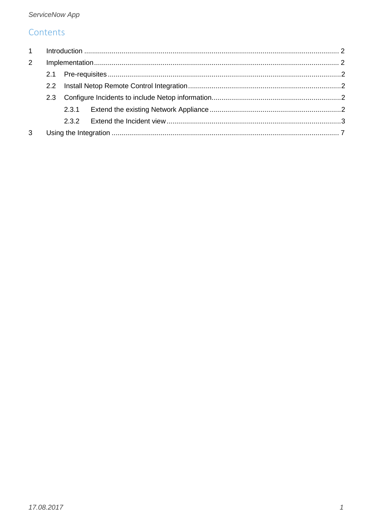# Contents

| $2^{\circ}$ |  |  |
|-------------|--|--|
|             |  |  |
|             |  |  |
|             |  |  |
|             |  |  |
|             |  |  |
| 3           |  |  |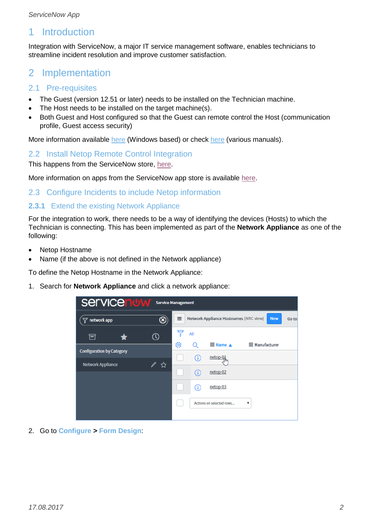## <span id="page-2-0"></span>1 Introduction

Integration with ServiceNow, a major IT service management software, enables technicians to streamline incident resolution and improve customer satisfaction.

## <span id="page-2-1"></span>2 Implementation

## <span id="page-2-2"></span>2.1 Pre-requisites

- The Guest (version 12.51 or later) needs to be installed on the Technician machine.
- The Host needs to be installed on the target machine(s).
- Both Guest and Host configured so that the Guest can remote control the Host (communication profile, Guest access security)

More information available [here](https://www.netop.com/fileadmin/netop/resources/products/administration/remote_control/manuals/NetopRemoteControl_QuickInstall_EN.pdf) (Windows based) or check [here](https://www.netop.com/remotesupport/product/manualsandguides.htm) (various manuals).

## <span id="page-2-3"></span>2.2 Install Netop Remote Control Integration

This happens from the ServiceNow store, [here.](https://store.servicenow.com/sn_appstore_store.do#!/store/application/8624e762dbe8c3004827fd741d961993/1.0.2?referer=sn_appstore_store.do%23!%2Fstore%2Fsearch%3Fq%3Dnetop%2520remote%2520control)

More information on apps from the ServiceNow app store is available [here.](https://store.servicenow.com/sn_appstore_store.do#!/store/help?article=KB0010009)

## <span id="page-2-4"></span>2.3 Configure Incidents to include Netop information

## <span id="page-2-5"></span>**2.3.1** Extend the existing Network Appliance

For the integration to work, there needs to be a way of identifying the devices (Hosts) to which the Technician is connecting. This has been implemented as part of the **Network Appliance** as one of the following:

- Netop Hostname
- Name (if the above is not defined in the Network appliance)

To define the Netop Hostname in the Network Appliance:

1. Search for **Network Appliance** and click a network appliance:

| <b>Servicenuw</b>                | <b>Service Management</b> |   |     |                                        |                       |       |
|----------------------------------|---------------------------|---|-----|----------------------------------------|-----------------------|-------|
| network app                      | ⊛                         | ≡ |     | Network Appliance Hostnames [NRC view] | <b>New</b>            | Go to |
| 同                                |                           | 굽 | All |                                        |                       |       |
| <b>Configuration by Category</b> |                           | భ |     | $\equiv$ Name $\triangle$              | $\equiv$ Manufacturer |       |
|                                  |                           |   | Œ   | netop-0                                |                       |       |
| <b>Network Appliance</b>         | ☆                         |   |     | netop-02                               |                       |       |
|                                  |                           |   | Œ   | netop-03                               |                       |       |
|                                  |                           |   |     | Actions on selected rows               | ▼                     |       |
|                                  |                           |   |     |                                        |                       |       |

2. Go to **Configure > Form Design**: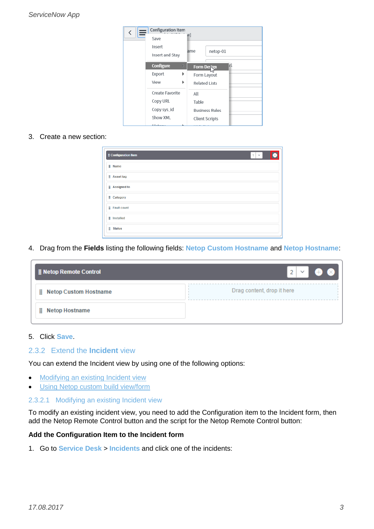| <b>Configuration Item</b> |   |                       |                       |    |
|---------------------------|---|-----------------------|-----------------------|----|
| Save                      |   | W]                    |                       |    |
| Insert                    |   |                       |                       |    |
| Insert and Stay           |   | ame                   | netop-01              |    |
| Configure                 | D | Form Design           |                       | 71 |
| Export                    | Þ | Form Layout           |                       |    |
| View                      | Þ | <b>Related Lists</b>  |                       |    |
| Create Favorite           |   | All                   |                       |    |
| Copy URL                  |   | Table                 |                       |    |
| Copy sys_id               |   |                       | <b>Business Rules</b> |    |
| Show XML                  |   | <b>Client Scripts</b> |                       |    |
|                           |   |                       |                       |    |

## 3. Create a new section:

| <b>E</b> Configuration Item | $1 \times$ |
|-----------------------------|------------|
| <b>ii</b> Name              |            |
| <b>ii</b> Assettag          |            |
| <b>EXPLOSI</b> Assigned to  |            |
| <b>E</b> Category           |            |
| Fault count                 |            |
| <b>ii</b> Installed         |            |
| <b>ii</b> Status            |            |

4. Drag from the **Fields** listing the following fields: **Netop Custom Hostname** and **Netop Hostname**:

| <b>B</b> Netop Remote Control | 2                          |
|-------------------------------|----------------------------|
| Netop Custom Hostname         | Drag content, drop it here |
| <b>Netop Hostname</b><br>Ħ    |                            |

#### 5. Click **Save**.

#### <span id="page-3-0"></span>2.3.2 Extend the **Incident** view

You can extend the Incident view by using one of the following options:

- **[Modifying an existing Incident view](#page-3-1)**
- [Using Netop custom build view/form](#page-7-1)

#### <span id="page-3-1"></span>2.3.2.1 Modifying an existing Incident view

To modify an existing incident view, you need to add the Configuration item to the Incident form, then add the Netop Remote Control button and the script for the Netop Remote Control button:

#### **Add the Configuration Item to the Incident form**

1. Go to **Service Desk** > **Incidents** and click one of the incidents: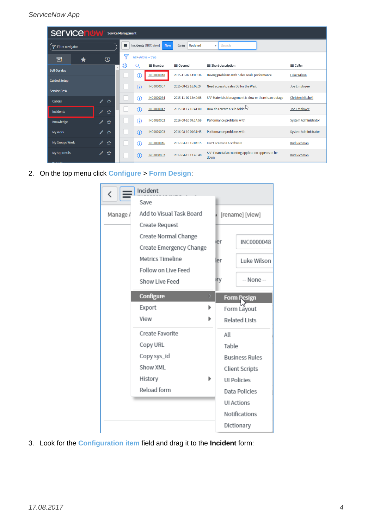| <b>Servicenuw</b><br><b>Service Management</b> |                    |    |                                    |                   |                                   |                                                            |                             |
|------------------------------------------------|--------------------|----|------------------------------------|-------------------|-----------------------------------|------------------------------------------------------------|-----------------------------|
| 무 Filter navigator                             | Ξ                  |    | Incidents [NRC view]<br><b>New</b> | Updated<br>Go to  | $\overline{\mathbf{v}}$<br>Search |                                                            |                             |
| 同                                              | $\odot$            |    | All > Active = true                |                   |                                   |                                                            |                             |
|                                                |                    | සූ | Q                                  | $\equiv$ Number   | $\equiv$ Opened                   | $\equiv$ Short description                                 | $\equiv$ Caller             |
| Self-Service<br><b>Guided Setup</b>            |                    |    | Œ                                  | <b>INC0000048</b> | 2015-11-02 14:05:36               | Having problems with Sales Tools performance               | <b>Luke Wilson</b>          |
|                                                |                    |    | G                                  | <b>INC0000007</b> | 2015-08-12 16:08:24               | Need access to sales DB for the West                       | Joe Employee                |
| <b>Service Desk</b>                            |                    |    |                                    |                   |                                   |                                                            |                             |
| <b>Callers</b>                                 | $\mathscr{D}$<br>☆ |    | (i)                                | <b>INC0000054</b> | 2015-11-02 12:49:08               | SAP Materials Management is slow or there is an outage     | <b>Christen Mitchell</b>    |
| <b>Incidents</b>                               | ☆<br>$\mathscr{N}$ |    | G                                  | <b>INC0000017</b> | 2015-08-12 16:41:00               | How do I create a sub-folder by                            | Joe Employee                |
| Knowledge                                      | $\mathscr{Q}$<br>☆ |    | (i)                                | <b>INC0020002</b> | 2016-08-10 09:14:59               | Performance problems with                                  | <b>System Administrator</b> |
| <b>My Work</b>                                 | ☆<br>I             |    | $\bigcirc$                         | <b>INC0020003</b> | 2016-08-10 09:37:45               | Performance problems with                                  | <b>System Administrator</b> |
| <b>My Groups Work</b>                          | ☆<br>I             |    | $\odot$                            | <b>INC0000046</b> | 2017-04-13 15:04:15               | Can't access SFA software                                  | <b>Bud Richman</b>          |
| <b>My Approvals</b>                            | ☆<br>∥             |    | Œ                                  | <b>INC0000052</b> | 2017-04-13 13:48:40               | SAP Financial Accounting application appears to be<br>down | <b>Bud Richman</b>          |

2. On the top menu click **Configure** > **Form Design**:

| $\overline{\phantom{a}}$ | Incident                 |       |                       |
|--------------------------|--------------------------|-------|-----------------------|
|                          | Save                     |       |                       |
| Manage /                 | Add to Visual Task Board |       | [rename] [view]       |
|                          | Create Request           |       |                       |
|                          | Create Normal Change     | ier   | INC0000048            |
|                          | Create Emergency Change  |       |                       |
|                          | Metrics Timeline         | ler   | Luke Wilson           |
|                          | Follow on Live Feed      |       |                       |
|                          | Show Live Feed           | иrу   | -- None --            |
|                          | Configure                |       | <b>Form Design</b>    |
|                          | Export                   |       | Form Layout           |
|                          | View                     |       | Related Lists         |
|                          | Create Favorite          | All   |                       |
|                          | Copy URL                 | Table |                       |
|                          | Copy sys_id              |       | <b>Business Rules</b> |
|                          | Show XML                 |       | Client Scripts        |
|                          | History                  |       | <b>UI Policies</b>    |
|                          | Reload form              |       | Data Policies         |
|                          |                          |       | <b>UI Actions</b>     |
|                          |                          |       | Notifications         |
|                          |                          |       | Dictionary            |

3. Look for the **Configuration item** field and drag it to the **Incident** form: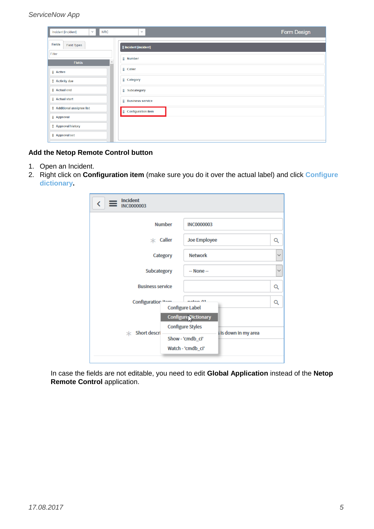#### *ServiceNow App*

| Incident [incident]<br>$\checkmark$<br><b>NRC</b> | $\checkmark$                  | Form Design |
|---------------------------------------------------|-------------------------------|-------------|
| <b>Fields</b><br><b>Field Types</b>               | <b>ii</b> Incident [incident] |             |
| Filter<br><b>Fields</b>                           | <b>ii</b> Number              |             |
| <b>E</b> Active                                   | <b>El</b> Caller              |             |
| <b>E</b> Activity due                             | <b>E</b> Category             |             |
| <b>E</b> Actual end                               | <b>Subcategory</b>            |             |
| <b>E</b> Actual start                             | <b>Business service</b>       |             |
| Additional assignee list                          | Configuration item            |             |
| <b>Approval</b>                                   |                               |             |
| <b>E</b> Approval history                         |                               |             |
| <b>E</b> Approval set                             |                               |             |

## **Add the Netop Remote Control button**

- 1. Open an Incident.
- 2. Right click on **Configuration item** (make sure you do it over the actual label) and click **Configure dictionary.**

| <b>Incident</b><br>$\overline{\textbf{C}}$<br><b>INC0000003</b>                                              |                          |
|--------------------------------------------------------------------------------------------------------------|--------------------------|
| <b>Number</b><br><b>INC0000003</b>                                                                           |                          |
| $*$ Caller                                                                                                   | <b>Joe Employee</b><br>Q |
| <b>Network</b><br>Category                                                                                   | $\checkmark$             |
| Subcategory<br>$-$ None $-$                                                                                  | $\checkmark$             |
| <b>Business service</b>                                                                                      | Q                        |
| Configuration item<br>natan 01<br><b>Configure Label</b>                                                     | Q                        |
| Configure Dictionary<br><b>Configure Styles</b><br>$*$ Short descri<br>Show - 'cmdb_ci'<br>Watch - 'cmdb_ci' | s is down in my area     |

In case the fields are not editable, you need to edit **Global Application** instead of the **Netop Remote Control application.**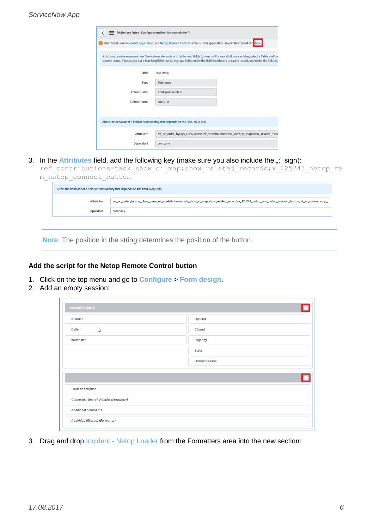|                                                                                      |                    | This record is in the Global application, but Netop Remote Control is the current application. To edit this record clice here,                                                                                                                                                         |
|--------------------------------------------------------------------------------------|--------------------|----------------------------------------------------------------------------------------------------------------------------------------------------------------------------------------------------------------------------------------------------------------------------------------|
|                                                                                      |                    | A dictionary entry manages how ServiceNow stores data in tables and fields (columns). For new dictionary entries, select a Table and the<br>column name. If necessary, set a Max length for text String type fields, make the field Mandatory to save a record, and make the field a D |
| Table                                                                                | <b>Task [task]</b> |                                                                                                                                                                                                                                                                                        |
| Type                                                                                 | Reference          |                                                                                                                                                                                                                                                                                        |
| Column label                                                                         | Configuration item |                                                                                                                                                                                                                                                                                        |
| Column name                                                                          | cmdb ci            |                                                                                                                                                                                                                                                                                        |
|                                                                                      |                    |                                                                                                                                                                                                                                                                                        |
| Alters the behavior of a field or functionality that depends on the field. More Info |                    |                                                                                                                                                                                                                                                                                        |
| <b>Attributes</b>                                                                    |                    | ref_ac_order_by=sys_class_name,ref_contributions=task_show_ci_map;show_related_reco                                                                                                                                                                                                    |
| Dependent                                                                            | company            |                                                                                                                                                                                                                                                                                        |

3. In the **Attributes** field, add the following key (make sure you also include the ";" sign):

|  | ref contributions=task show ci map; show related records; x 125243 netop re |  |  |  |  |
|--|-----------------------------------------------------------------------------|--|--|--|--|
|  | m netop connect button                                                      |  |  |  |  |

| Alters the behavior of a field or functionality that depends on the field. More Info |                                                                                                                                                    |  |  |  |  |  |  |  |
|--------------------------------------------------------------------------------------|----------------------------------------------------------------------------------------------------------------------------------------------------|--|--|--|--|--|--|--|
| <b>Attributes</b>                                                                    | ref_ac_order_by=sys_class_name,ref_contributions=task_show_ci_map;show_related_records;x_125243_netop_rem_netop_connect_button,ref_ac_columns=sys_ |  |  |  |  |  |  |  |
| <b>Dependent</b>                                                                     | company                                                                                                                                            |  |  |  |  |  |  |  |

**Note**: The position in the string determines the position of the button.

## **Add the script for the Netop Remote Control button**

- 1. Click on the top menu and go to **Configure** > **Form design**.
- 2. Add an empty session:

 $\overline{ }$ 

| <b>Incident [incident]</b>                   |                |
|----------------------------------------------|----------------|
| Number                                       | Opened         |
| $\gamma$<br>Caller                           | <b>Closed</b>  |
| <b>Watch list</b>                            | <b>Urgency</b> |
|                                              | <b>State</b>   |
|                                              | On hold reason |
|                                              |                |
|                                              |                |
|                                              |                |
| <b>Short description</b>                     |                |
| <b>Contextual Search Results (Formatter)</b> |                |
| <b>Additional comments</b>                   |                |

3. Drag and drop Incident - Netop Loader from the Formatters area into the new section: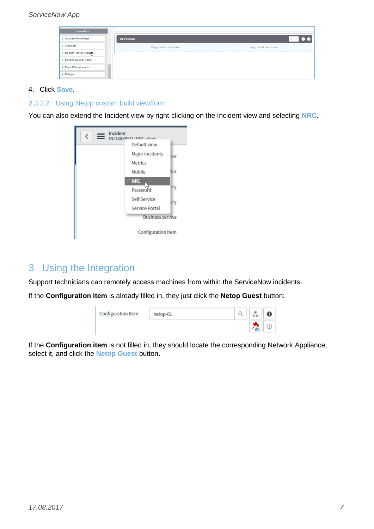## *ServiceNow App*

| <b>Formatters</b>                  |                                |                            |
|------------------------------------|--------------------------------|----------------------------|
| <b>El Attached Knowledge</b>       | <b>New Section</b>             |                            |
| <b>E</b> Checklist                 | <br>Drag content, drop it here | Drag content, drop it here |
| <b>Il Incident - Netop Loadgin</b> |                                |                            |
| <b>Il Incident Variable Editor</b> |                                |                            |
| Parent Breadcrumbs                 |                                |                            |
| <b>H</b> Ratings                   |                                |                            |

#### 4. Click **Save**.

#### <span id="page-7-1"></span>2.3.2.2 Using Netop custom build view/form

You can also extend the Incident view by right-clicking on the Incident view and selecting **NRC**.



# <span id="page-7-0"></span>3 Using the Integration

Support technicians can remotely access machines from within the ServiceNow incidents.

If the **Configuration item** is already filled in, they just click the **Netop Guest** button:



If the **Configuration item** is not filled in, they should locate the corresponding Network Appliance, select it, and click the **Netop Guest** button.